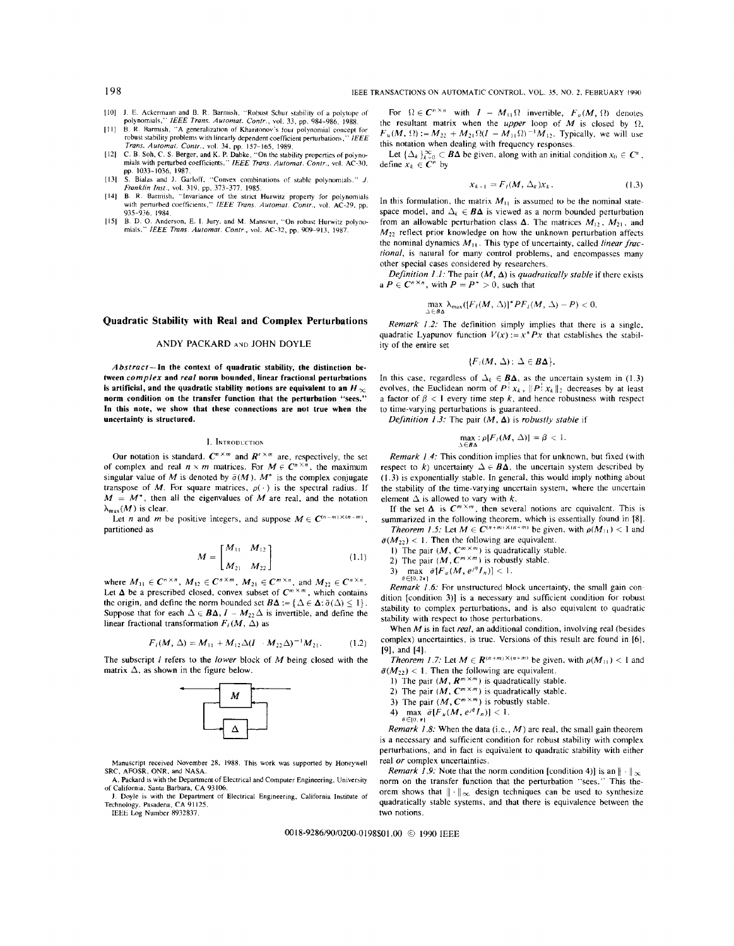- [IO] J. E. Ackermann and B. R. Barmish. "Robust Schur stability of a polytope of polynomials," *IEEE Trans. Automal. Contr.,* vol. 33, pp. 984-986, 1988.
- [11] B. R. Barmish, "A generalization of Kharitonov's four polynomial concept for
- robust stability problems with linearly dependent coefficient perturbations." *IEEE Trans. Automat. Contr.*, vol. 34, pp. 157–165, 1989.<br>[12] C. B. Soh, C. S. Berger, and K. P. Dabke, "On the stability properties of polyno-<br>mials with perturbed coefficients," *IEEE Trans. Automat. Contr.*, vol. AC-30,
- pp. 1033-1036, 1987. [13] S. Bialas and J. Garloff, "Convex combinations of stable polynomials." J.
- *Franklin Inst.,* vol. 319. pp. 373-377. 1985.
- [14J B. R. Barmish, "Invariance of the strict Hurwitz property for polynomials with perturbed coefficients," *IEEE Trans. Automat. Contr.,* vol. AC-29. pp. 935-936, 1984.
- [ 15J B. D. 0. Anderson, E. l. Jury, and M. Mansour, "On robust Hurwitz polyno-mials." *IEEE Trans. Automat. Contr.,* vol. AC-32, pp. 909-913, 1987.

# **Quadratic Stability with Real and Complex Perturbations**

## ANDY PACKARD AND JOHN DOYLE

*A bstract-ln* **the context of quadratic stability, the distinction between** *complex* **and** *real* **norm bounded, linear fractional perturbations is artificial, and the quadratic stability notions are equivalent to an H** = **norm condition on the transfer function that the perturbation** "sees." **In this note, we show that these connections are not true when the uncertainty is structured.** 

## I. INTRODUCTION

Our notation is standard.  $C^{n \times m}$  and  $R^{r \times m}$  are, respectively, the set of complex and real  $n \times m$  matrices. For  $M \in C^{n \times n}$ , the maximum singular value of *M* is denoted by  $\bar{\sigma}(M)$ .  $M^*$  is the complex conjugate transpose of M. For square matrices,  $\rho(\cdot)$  is the spectral radius. If  $M = M^*$ , then all the eigenvalues of *M* are real, and the notation  $\lambda_{\max}(M)$  is clear.

Let *n* and *m* be positive integers, and suppose  $M \in C^{(n-m)\times(n-m)}$ , partitioned as

$$
M = \begin{bmatrix} M_{11} & M_{12} \\ M_{21} & M_{22} \end{bmatrix}
$$
 (1.1)

where  $M_{11} \in C^{n \times n}$ ,  $M_{12} \in C^{n \times m}$ ,  $M_{21} \in C^{m \times n}$ , and  $M_{22} \in C^{n \times n}$ . Let  $\Delta$  be a prescribed closed, convex subset of  $C^{m \times m}$ , which contains the origin, and define the norm bounded set  $\mathbf{B}\boldsymbol{\Delta} := \{ \Delta \in \boldsymbol{\Delta} : \bar{\sigma}(\Delta) \leq 1 \}.$ Suppose that for each  $\Delta \in \mathbf{B}\Delta$ ,  $I - M_{22}\Delta$  is invertible, and define the linear fractional transformation  $F_i(M, \Delta)$  as

$$
F_I(M, \Delta) = M_{11} + M_{12} \Delta (I \cdot M_{22} \Delta)^{-1} M_{21}.
$$
 (1.2)

The subscript I refers to the *lower* block of M being closed with the matrix  $\Delta$ , as shown in the figure below.



Manuscript received November 28, 1988. This work was supported by Honeywell SRC, AFOSR, ONR, and NASA.

A. Packard is with the Department of Electrical and Computer Engineering, University of California, Santa Barbara, CA 93106.

J. Doyle is with the Department of Electrical Engineering, California Institute of Technology, Pasadena, CA 91125. IEEE Log Number 8932837.

For  $\Omega \in \mathbb{C}^{n \times n}$  with  $I - M_{\perp 1} \Omega$  invertible,  $F_{\mu}(M, \Omega)$  denotes the resultant matrix when the *upper* loop of  $M$  is closed by  $\Omega$ ,  $F_u(M, \Omega) := M_{22} + M_{21} \Omega (I - M_{11} \Omega)^{-1} M_{12}$ . Typically, we will use this notation when dealing with frequency responses.

Let  $\{\Delta_k\}_{k=0}^{\infty} \subset \mathbf{B}\Delta$  be given, along with an initial condition  $x_0 \in \mathbf{C}^n$ , define  $x_k \in \mathbf{C}^n$  by

$$
x_{k-1} = F_t(M, \Delta_k) x_k.
$$
 (1.3)

In this formulation, the matrix  $M_{11}$  is assumed to be the nominal statespace model, and  $\Delta_k \in \mathbf{B}\Delta$  is viewed as a norm bounded perturbation from an allowable perturbation class  $\Delta$ . The matrices  $M_1$ ,  $M_2$ , and  $M_{22}$  reflect prior knowledge on how the unknown perturbation affects the nominal dynamics  $M_{11}$ . This type of uncertainty, called *linear fractional,* is natural for many control problems, and encompasses many other special cases considered by researchers.

*Definition 1.1:* The pair  $(M, \Delta)$  is *quadratically stable* if there exists a  $P \in C^{n \times n}$ , with  $P = P^* > 0$ , such that

$$
\max_{\Delta\in B\Delta}\lambda_{\max}([F_i(M,\Delta))^*PF_i(M,\Delta)-P)<0.
$$

*Remark 1.2:* The definition simply implies that there is a single, quadratic Lyapunov function  $V(x) := x^* P x$  that establishes the stability of the entire set

$$
\{F_i(M, \Delta): \Delta \in B\Delta\}.
$$

In this case, regardless of  $\Delta_k \in \mathbf{B}\Delta$ , as the uncertain system in (1.3) evolves, the Euclidean norm of  $P^{\frac{1}{2}}x_k$ ,  $||P^{\frac{1}{2}}x_k||_2$  decreases by at least a factor of  $\beta$  < 1 every time step *k*, and hence robustness with respect to time-varying perturbations is guaranteed.

*Definition 1.3:* The pair  $(M, \Delta)$  is *robustly stable* if

$$
\max_{\Delta \in \mathcal{B}\Delta} : \rho[F_i(M, \Delta)] = \beta < 1.
$$

*Remark 1.4:* This condition implies that for unknown, but fixed (with respect to k) uncertainty  $\Delta \in B\Delta$ , the uncertain system described by (1.3) is exponentially stable. In general, this would imply nothing about the stability of the time-varying uncertain system, where the uncertain element  $\Delta$  is allowed to vary with *k*.

If the set  $\Delta$  is  $C^{m \times m}$ , then several notions are equivalent. This is summarized in the following theorem, which is essentially found in [8].

*Theorem 1.5:* Let  $M \in \overline{C}^{(n+m)\times(n+m)}$  be given, with  $\rho(M_{11}) < 1$  and  $\bar{\sigma}(M_{22})$  < 1. Then the following are equivalent.

1) The pair  $(M, C^{m \times m})$  is quadratically stable.

2) The pair  $(M, \mathbb{C}^{m \times m})$  is robustly stable.

3)  $\max_{\theta \in [0, 2\pi]} \bar{\sigma}[F_u(M, e^{j\theta}I_n)] < 1.$ 

*Remark 1.6:* For unstructured block uncertainty, the small gain condition [condition 3)] is a necessary and sufficient condition for robust stability to complex perturbations, and is also equivalent to quadratic stability with respect to those perturbations.

When *Mis* in fact *real,* an additional condition, involving real (besides complex) uncertainties, is true. Versions of this result are found in (6], [9], and [4].

*Theorem 1.7:* Let  $M \in R^{(n+m)\times(n+m)}$  be given, with  $\rho(M_{11}) < 1$  and  $\bar{\sigma}(M_{22})$  < 1. Then the following are equivalent.

- 1) The pair  $(M, R^{m \times m})$  is quadratically stable.
- 2) The pair  $(M, C^{m \times m})$  is quadratically stable.

3) The pair  $(M, C^{m \times m})$  is robustly stable.

4)  $\max_{\theta \in [0, \pi]} \bar{\sigma} [F_u(M, e^{j\theta} I_n)] < 1.$ 

*Remark 1.8:* When the data (i.e., *M)* are real, the small gain theorem is a necessary and sufficient condition for robust stability with complex perturbations, and in fact is equivalent to quadratic stability with either

real *or* complex uncertainties. *Remark 1.9:* Note that the norm condition [condition 4)] is an  $\|\cdot\|_{\infty}$ norm on the transfer function that the perturbation "sees." This theorem shows that  $\|\cdot\|_{\infty}$  design techniques can be used to synthesize quadratically stable systems, and that there is equivalence between the two notions.

0018-9286/90/0200-0198\$01.00 © 1990 IEEE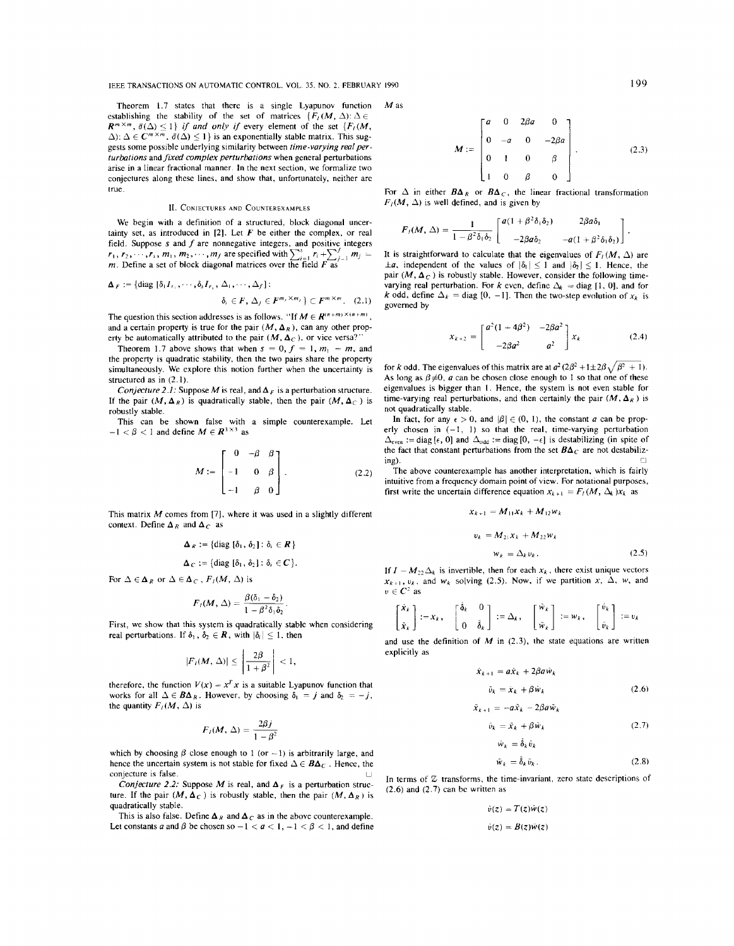IEEE TRANSACTIONS ON AUTOMATIC CONTROL, VOL. 35, NO. 2, FEBRUARY 1990 199

Theorem 1.7 states that there is a single Lyapunov function establishing the stability of the set of matrices  ${F_l}(M, \Delta): \Delta \in$  $R^{m \times m}$ ,  $\bar{\sigma}(\Delta) \leq 1$ *) if and only if every element of the set*  $\{F_l(M, \Delta) \leq 1\}$  $\Delta$ ):  $\Delta \in \mathbb{C}^{m \times m}$ ,  $\bar{\sigma}(\Delta) \leq 1$ } is an exponentially stable matrix. This suggests some possible underlying similarity between *time-varying real perturbations* and *fixed complex perturbations* when general perturbations arise in a linear fractional manner. In the next section, we formalize two conjectures along these lines, and show that, unfortunately, neither are true.

### II. CONJECTURES AND COUNTEREXAMPLES

We begin with a definition of a structured, block diagonal uncertainty set, as introduced in  $[2]$ . Let  $F$  be either the complex, or real field. Suppose *s* and *f* are nonnegative integers, and positive integers *r*<sub>1</sub>, *r*<sub>2</sub>, ···, *r*<sub>s</sub>, *m*<sub>1</sub>, *m*<sub>2</sub>, ···, *m<sub>1</sub>* are specified with  $\sum_{i=1}^{s} r_i + \sum_{j=1}^{f} m_j =$ *m*. Define a set of block diagonal matrices over the field  $F$  as

$$
\Delta_F := \{ \text{diag } [\delta_1 I_{r_1}, \cdots, \delta_s I_{r_s}, \Delta_1, \cdots, \Delta_f] : \\ \delta_i \in F, \Delta_j \in F^{m, \times m_j} \} \subset F^{m \times m}.
$$
 (2.1)

The question this section addresses is as follows. "If  $M \in \mathbb{R}^{(n+m)\times(n+m)}$ , and a certain property is true for the pair  $(M, \Delta_R)$ , can any other property be automatically attributed to the pair  $(M, \Delta_C)$ , or vice versa?"

Theorem 1.7 above shows that when  $s = 0$ ,  $f = 1$ ,  $m_1 = m$ , and the property is quadratic stability, then the two pairs share the property simultaneously. We explore this notion further when the uncertainty is structured as in (2. I).

*Conjecture 2.1:* Suppose *M* is real, and  $\Delta_F$  is a perturbation structure. If the pair  $(M, \Delta_R)$  is quadratically stable, then the pair  $(M, \Delta_C)$  is robustly stable.

This can be shown false with a simple counterexample. Let  $-1 < \beta < 1$  and define  $M \in \mathbb{R}^{3 \times 3}$  as

$$
M := \begin{bmatrix} 0 & -\beta & \beta \\ -1 & 0 & \beta \\ -1 & \beta & 0 \end{bmatrix}.
$$
 (2.2)

This matrix  $M$  comes from [7], where it was used in a slightly different context. Define  $\Delta_R$  and  $\Delta_C$  as

$$
\Delta_R := \{ \text{diag } [\delta_1, \, \delta_2] : \, \delta_i \in R \}
$$

$$
\Delta_C := \{ \text{diag } [\delta_1, \, \delta_2] : \delta_i \in C \}.
$$

For  $\Delta \in \Delta_R$  or  $\Delta \in \Delta_C$ ,  $F_I(M, \Delta)$  is

$$
F_I(M,\Delta)=\frac{\beta(\delta_1-\delta_2)}{1-\beta^2\delta_1\delta_2}.
$$

First, we show that this system is quadratically stable when considering real perturbations. If  $\delta_1$ ,  $\delta_2 \in \mathbb{R}$ , with  $|\delta_i| \leq 1$ , then

$$
|F_{\ell}(M, \Delta)| \leq \left| \frac{2\beta}{1+\beta^2} \right| < 1,
$$

therefore, the function  $V(x) = x^T x$  is a suitable Lyapunov function that works for all  $\Delta \in B\Delta_R$ . However, by choosing  $\delta_1 = j$  and  $\delta_2 = -j$ , the quantity  $F_I(M, \Delta)$  is

$$
F_i(M, \Delta) = \frac{2\beta j}{1 - \beta^2}
$$

which by choosing  $\beta$  close enough to 1 (or  $-1$ ) is arbitrarily large, and hence the uncertain system is not stable for fixed  $\Delta \in B\Delta_C$ . Hence, the conjecture is false.

*Conjecture 2.2:* Suppose *M* is real, and  $\Delta_F$  is a perturbation structure. If the pair  $(M, \Delta_C)$  is robustly stable, then the pair  $(M, \Delta_R)$  is quadratically stable.

This is also false. Define  $\Delta_R$  and  $\Delta_C$  as in the above counterexample. Let constants *a* and  $\beta$  be chosen so  $-1 < a < 1, -1 < \beta < 1$ , and define M<sub>as</sub>

$$
M := \begin{bmatrix} a & 0 & 2\beta a & 0 \\ 0 & -a & 0 & -2\beta a \\ 0 & 1 & 0 & \beta \\ 1 & 0 & \beta & 0 \end{bmatrix}.
$$
 (2.3)

For  $\Delta$  in either  $B\Delta_R$  or  $B\Delta_C$ , the linear fractional transformation  $F_1(M, \Delta)$  is well defined, and is given by

$$
F_{l}(M, \Delta) = \frac{1}{1 - \beta^2 \delta_1 \delta_2} \begin{bmatrix} a(1 + \beta^2 \delta_1 \delta_2) & 2\beta a \delta_1 \\ -2\beta a \delta_2 & -a(1 + \beta^2 \delta_1 \delta_2) \end{bmatrix}.
$$

It is straightforward to calculate that the eigenvalues of  $F_I(M, \Delta)$  are  $\pm a$ *,* independent of the values of  $|\delta_1| \leq 1$  and  $|\delta_2| \leq 1$ . Hence, the pair  $(M, \Delta_C)$  is robustly stable. However, consider the following timevarying real perturbation. For k even, define  $\Delta_t = \text{diag}[1, 0]$ , and for *k* odd, define  $\Delta_k = \text{diag } [0, -1]$ . Then the two-step evolution of  $x_k$  is governed by

$$
x_{k+2} = \begin{bmatrix} a^2(1+4\beta^2) & -2\beta a^2 \\ -2\beta a^2 & a^2 \end{bmatrix} x_k
$$
 (2.4)

for k odd. The eigenvalues of this matrix are at  $a^2$  ( $2\beta^2 + 1 \pm 2\beta\sqrt{\beta^2 + 1}$ ). As long as  $\beta \neq 0$ , *a* can be chosen close enough to 1 so that one of these eigenvalues is bigger than **1** . Hence, the system is not even stable for time-varying real perturbations, and then certainly the pair  $(M, \Delta_R)$  is not quadratically stable.

In fact, for any  $\epsilon > 0$ , and  $|\beta| \in (0, 1)$ , the constant *a* can be properly chosen in  $(-1, 1)$  so that the real, time-varying perturbation  $\Delta_{\text{even}}$  := diag [ $\epsilon$ , 0] and  $\Delta_{\text{odd}}$  := diag [0, - $\epsilon$ ] is destabilizing (in spite of the fact that constant perturbations from the set  $B\Delta_C$  are not destabiliz-

~- D The above counterexample has another interpretation, which is fairly intuitive from a frequency domain point of view. For notational purposes, first write the uncertain difference equation  $x_{k+1} = F_l(M, \Delta_k) x_k$  as

$$
x_{k+1} = M_{11}x_k + M_{12}w_k
$$
  

$$
v_k = M_{21}x_k + M_{22}w_k
$$
  

$$
w_k = \Delta_k v_k.
$$
 (2.5)

If  $I - M_{22} \Delta_k$  is invertible, then for each  $x_k$ , there exist unique vectors  $x_{k+1}$ ,  $v_k$ , and  $w_k$  solving (2.5). Now, if we partition x,  $\Delta$ , w, and  $v \in \mathbb{C}^2$  as

$$
\begin{bmatrix} \hat{x}_k \\ \hat{x}_k \end{bmatrix} := x_k, \quad \begin{bmatrix} \delta_k & 0 \\ 0 & \tilde{\delta}_k \end{bmatrix} := \Delta_k, \quad \begin{bmatrix} \hat{w}_k \\ \tilde{w}_k \end{bmatrix} := w_k, \quad \begin{bmatrix} \hat{v}_k \\ \tilde{v}_k \end{bmatrix} := v_k
$$

and use the definition of  $M$  in (2.3), the state equations are written explicitly as

$$
\begin{aligned} \n\dot{x}_{k+1} &= a\dot{x}_k + 2\beta a\dot{w}_k\\ \n\ddot{v}_k &= \dot{x}_k + \beta \dot{w}_k \n\end{aligned} \tag{2.6}
$$

$$
\tilde{x}_{k+1} = -a\tilde{x}_k - 2\beta a\tilde{w}_k
$$

$$
\hat{v}_k = \tilde{X}_k + \beta \tilde{w}_k
$$
\n
$$
\hat{w}_k = \hat{\delta}_k \tilde{v}_k
$$
\n(2.7)

$$
\tilde{w}_k = \tilde{\delta}_k \tilde{v}_k. \tag{2.8}
$$

In terms of Z transforms, the time-invariant, zero state descriptions of  $(2.6)$  and  $(2.7)$  can be written as

$$
\tilde{v}(z) = T(z)\hat{w}(z)
$$

$$
\hat{v}(z) = B(z)\tilde{w}(z)
$$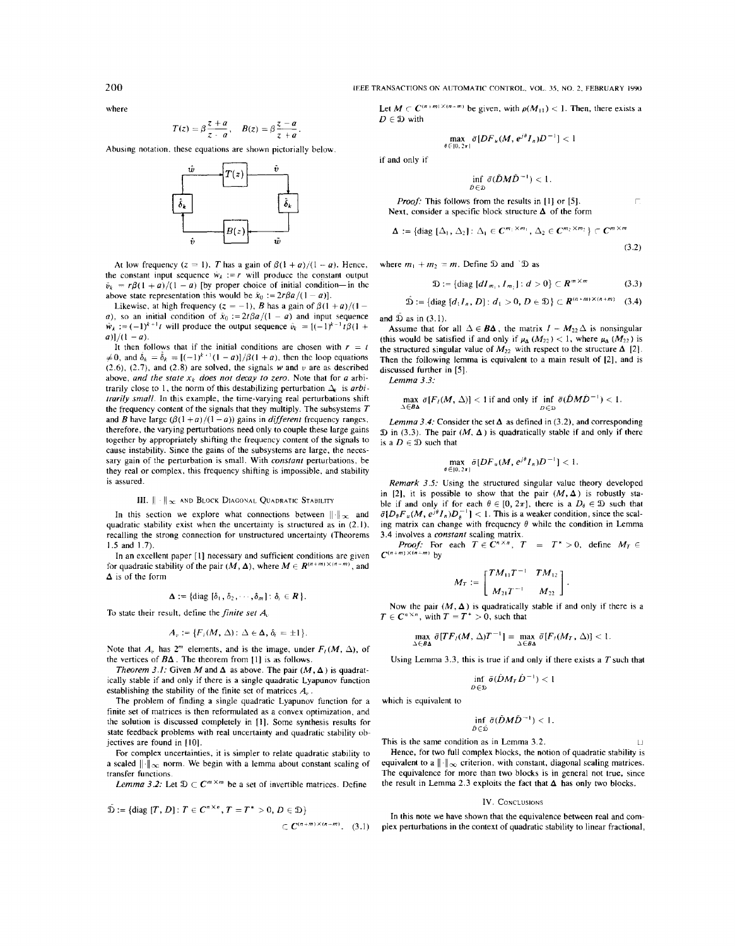200 **IEEE TRANSACTIONS ON AUTOMATIC CONTROL, VOL. 35, NO. 2, FEBRUARY 1990** 

where

$$
T(z) = \beta \frac{z+a}{z-a}, \quad B(z) = \beta \frac{z-a}{z+a}.
$$

Abusing notation, these equations are shown pictorially below.



At low frequency  $(z = 1)$ , *T* has a gain of  $\beta(1 + a)/(1 - a)$ . Hence, the constant input sequence  $\dot{w}_k := r$  will produce the constant output  $\tilde{v}_k = r\beta(1 + a)/(1 - a)$  [by proper choice of initial condition-in the above state representation this would be  $\hat{x}_0 := 2r\beta a/(1 - a)$ .

Likewise, at high frequency  $(z = -1)$ , *B* has a gain of  $\beta(1 + a)/(1 - a)$ *a*), so an initial condition of  $\dot{x}_0 := 2t\beta a/(1 - a)$  and input sequence  $\hat{w}_k := (-1)^{k+1}t$  will produce the output sequence  $\hat{v}_k = [(-1)^{k-1}t\beta(1 +$  $a)$ ]/(1 – *a*).

It then follows that if the initial conditions are chosen with  $r = t$  $\neq 0$ , and  $\dot{\delta}_k = \dot{\delta}_k = [(-1)^{k+1}(1 - a)]/\beta(1 + a)$ , then the loop equations  $(2.6)$ ,  $(2.7)$ , and  $(2.8)$  are solved, the signals w and  $v$  are as described above, and the state  $x_k$  does not decay to zero. Note that for a arbitrarily close to 1, the norm of this destabilizing perturbation  $\Delta_k$  is *arbitrarily small.* In this example, the time-varying real perturbations shift the frequency content of the signals that they multiply. The subsystems *T*  and *B* have large  $(\beta(1+a)/(1-a))$  gains in *different* frequency ranges, therefore, the varying perturbations need only to couple these large gains together by appropriately shifting the frequency content of the signals to cause instability. Since the gains of the subsystems are large, the necessary gain of the perturbation is small. With *constant* perturbations, be they real or complex, this frequency shifting is impossible, and stability is assured.

## III.  $\|\cdot\|_{\infty}$  and Block Diagonal Quadratic Stability

In this section we explore what connections between  $\|\cdot\|_{\infty}$  and quadratic stability exist when the uncertainty is structured as in (2. I), recalling the strong connection for unstructured uncertainty (Theorems 1.5 and 1.7).

In an excellent paper [l] necessary and sufficient conditions are given for quadratic stability of the pair  $(M, \Delta)$ , where  $M \in \mathbb{R}^{(n+m)\times (n-m)}$ , and  $\Delta$  is of the form

$$
\Delta := \{ \text{diag} [\delta_1, \delta_2, \cdots, \delta_m] : \delta_i \in \mathbb{R} \}.
$$

To state their result, define the *finite set A,* 

$$
A_v := \{F_i(M, \Delta) : \Delta \in \Delta, \, \delta_i = \pm 1\}.
$$

Note that  $A_v$  has  $2^m$  elements, and is the image, under  $F_1(M, \Delta)$ , of the vertices of  $B\Delta$ . The theorem from [1] is as follows.

*Theorem 3.1:* Given M and  $\Delta$  as above. The pair  $(M, \Delta)$  is quadratically stable if and only if there is a single quadratic Lyapunov function establishing the stability of the finite set of matrices  $A_{\alpha}$ .

The problem of finding a single quadratic Lyapunov function for a finite set of matrices is then reformulated as a convex optimization, and the solution is discussed completely in [!]. Some synthesis results for state feedback problems with real uncertainty and quadratic stability objectives are found in [IO].

For complex uncertainties, it is simpler to relate quadratic stability to a scaled  $\|\cdot\|_{\infty}$  norm. We begin with a lemma about constant scaling of transfer functions.

*Lemma 3.2:* Let  $D \subset C^{m \times m}$  be a set of invertible matrices. Define

$$
\tilde{\mathfrak{D}} := \{ \text{diag } [T, D] : T \in C^{n \times n}, T = T^* > 0, D \in \mathfrak{D} \}
$$
  

$$
\subset C^{(n+m) \times (n-m)}. (3.1)
$$

Let  $M \subset C^{(n+m)\times(n+m)}$  be given, with  $\rho(M_{11}) < 1$ . Then, there exists a  $D \in \mathfrak{D}$  with

$$
\max_{\theta \in [0,2\pi]} \bar{\sigma}[DF_u(M, e^{j\theta}I_n)D^{-1}] < 1
$$

if and only if

$$
\inf_{\hat{D}\in\mathfrak{D}}\bar{\sigma}(\tilde{D}M\tilde{D}^{-1})<1.
$$

*Proof:* This follows from the results in [1] or [5]. Next, consider a specific block structure **A** of the form

$$
\Delta := \{ \text{diag }[\Delta_1, \Delta_2] : \Delta_1 \in C^{m_1 \times m_1}, \Delta_2 \in C^{m_2 \times m_2} \} \subset C^{m \times m}
$$
\n(3.2)

where  $m_1 + m_2 = m$ . Define  $\mathcal D$  and  $\mathcal D$  as

$$
\mathfrak{D} := \{ \text{diag} \, [dI_{m_1}, I_{m_2}] : d > 0 \} \subset \mathbb{R}^{m \times m} \tag{3.3}
$$

$$
\hat{\mathfrak{D}} := \{ \text{diag } [d_1 I_n, D] : d_1 > 0, D \in \mathfrak{D} \} \subset \mathbb{R}^{(n+m) \times (n+m)} \quad (3.4)
$$

and  $\overline{D}$  as in (3.1).

Assume that for all  $\Delta \in B\Delta$ , the matrix  $I - M_{22} \Delta$  is nonsingular (this would be satisfied if and only if  $\mu_{\Delta}(M_{22}) < 1$ , where  $\mu_{\Delta}(M_{22})$  is the structured singular value of  $M_{22}$  with respect to the structure  $\Delta$  [2]. Then the following lemma is equivalent to a main result of [2], and is discussed further in [5].

*Lemma 3.3:* 

$$
\max_{\Delta \in \mathcal{B}\Delta} \bar{\sigma} [F_i(M, \Delta)] < 1 \text{ if and only if } \inf_{\bar{D} \in \mathcal{D}} \bar{\sigma} (\hat{D} M \hat{D}^{-1}) < 1.
$$

*Lemma 3.4:* Consider the set  $\Delta$  as defined in (3.2), and corresponding  $\mathfrak D$  in (3.3). The pair (M,  $\Delta$ ) is quadratically stable if and only if there is a  $D \in \mathcal{D}$  such that

$$
\max_{\theta \in [0,2\pi)} \bar{\sigma}[DF_u(M, e^{j\theta}I_n)D^{-1}] < 1.
$$

*Remark 3 .5:* Using the structured singular value theory developed in [2], it is possible to show that the pair  $(M, \Delta)$  is robustly stable if and only if for each  $\theta \in [0, 2\pi]$ , there is a  $D_{\theta} \in \mathfrak{D}$  such that  $\bar{\sigma}[D_{\theta}F_u(M, e^{j\theta}I_n]D_n^{-1}] < 1$ . This is a weaker condition, since the scaling matrix can change with frequency  $\theta$  while the condition in Lemma 3.4 involves a *constant* scaling matrix.

*Proof:* For each  $T \in C^{n \times n}$ ,  $T = T^* > 0$ , define  $M_T \in$  $C^{(n+m)\times(n+m)}$  by

$$
M_T := \begin{bmatrix} TM_{11}T^{-1} & TM_{12} \\ M_{21}T^{-1} & M_{22} \end{bmatrix}.
$$

Now the pair  $(M, \Delta)$  is quadratically stable if and only if there is a  $T \in C^{n \times n}$ , with  $T = T^* > 0$ , such that

$$
\max_{\Delta \in B\Delta} \bar{\sigma}[TF_I(M, \Delta)T^{-1}] = \max_{\Delta \in B\Delta} \bar{\sigma}[F_I(M_T, \Delta)] < 1.
$$

Using Lemma 3.3, this is true if and only if there exists a  $T$  such that

$$
-\inf \ \bar{\sigma}(\hat{D}M_T\hat{D}^{-1})<1
$$

 $D \in \mathcal{D}$ 

which is equivalent to

$$
\inf_{\tilde{D}\in \tilde{\mathfrak{D}}} \tilde{\sigma}(\tilde{D}M\tilde{D}^{-1}) < 1.
$$

This is the same condition as in Lemma 3.2.

Hence, for two full complex blocks, the notion of quadratic stability is equivalent to a  $\|\cdot\|_{\infty}$  criterion, with constant, diagonal scaling matrices. The equivalence for more than two blocks is in general not true, since the result in Lemma 2.3 exploits the fact that  $\Delta$  has only two blocks.

### IV. CONCLUSIONS

In this note we have shown that the equivalence between real and complex perturbations in the context of quadratic stability to linear fractional,